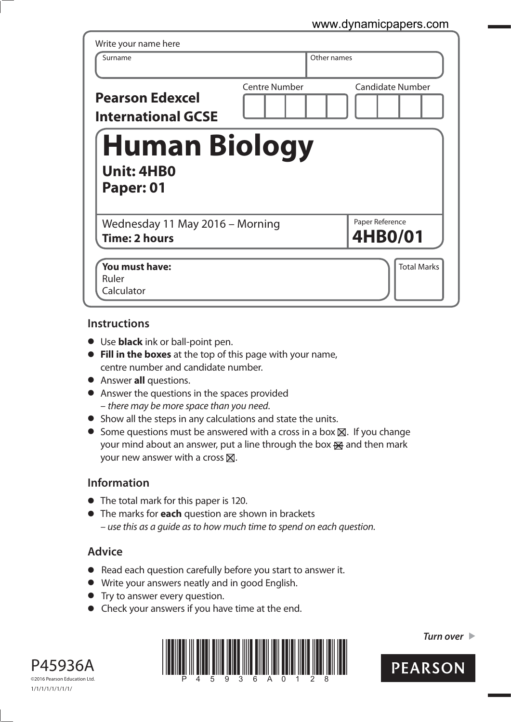### www.dynamicpapers.com

| Write your name here            |                      |                         |
|---------------------------------|----------------------|-------------------------|
| Surname                         |                      | Other names             |
|                                 | <b>Centre Number</b> | <b>Candidate Number</b> |
| <b>Pearson Edexcel</b>          |                      |                         |
| <b>International GCSE</b>       |                      |                         |
|                                 |                      |                         |
|                                 |                      |                         |
|                                 |                      |                         |
| <b>Human Biology</b>            |                      |                         |
| <b>Unit: 4HB0</b>               |                      |                         |
| Paper: 01                       |                      |                         |
|                                 |                      |                         |
| Wednesday 11 May 2016 - Morning |                      | Paper Reference         |
| <b>Time: 2 hours</b>            |                      | 4HB0/01                 |
|                                 |                      |                         |
| You must have:                  |                      | <b>Total Marks</b>      |
| Ruler<br>Calculator             |                      |                         |

#### **Instructions**

- **•** Use **black** ink or ball-point pen.
- **• Fill in the boxes** at the top of this page with your name, centre number and candidate number.
- **•** Answer **all** questions.
- **•** Answer the questions in the spaces provided – there may be more space than you need.
- **•** Show all the steps in any calculations and state the units.
- Some questions must be answered with a cross in a box  $\boxtimes$ . If you change your mind about an answer, put a line through the box  $\mathbb R$  and then mark your new answer with a cross  $\times$ .

#### **Information**

- **•** The total mark for this paper is 120.
- **•** The marks for **each** question are shown in brackets – use this as a guide as to how much time to spend on each question.

### **Advice**

- **•** Read each question carefully before you start to answer it.
- Read each question carefully before you start t<br>• Write your answers neatly and in good English. • Write your answers neatly and in good English.<br>• Try to answer every question.
- 
- **•** Check your answers if you have time at the end.





*Turn over* 

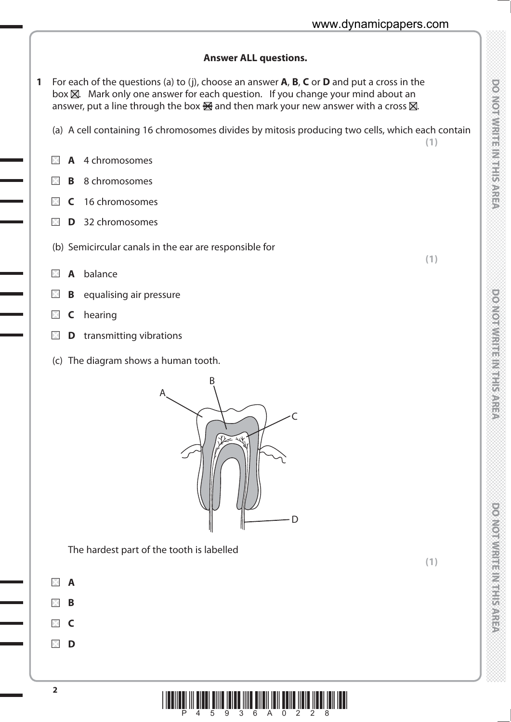### **Answer ALL questions.**

**1** For each of the questions (a) to (j), choose an answer **A**, **B**, **C** or **D** and put a cross in the box  $\boxtimes$ . Mark only one answer for each question. If you change your mind about an answer, put a line through the box  $\mathbb X$  and then mark your new answer with a cross  $\mathbb X$ .

(a) A cell containing 16 chromosomes divides by mitosis producing two cells, which each contain

- **A** 4 chromosomes
- **B** 8 chromosomes
- **C** 16 chromosomes
- **D** 32 chromosomes
- (b) Semicircular canals in the ear are responsible for
- **A** balance
- **B** equalising air pressure
- **C** hearing
- **D** transmitting vibrations
- (c) The diagram shows a human tooth.



The hardest part of the tooth is labelled

- **A**
- **B**
- **C**
- **D**

**(1)**

**(1)**

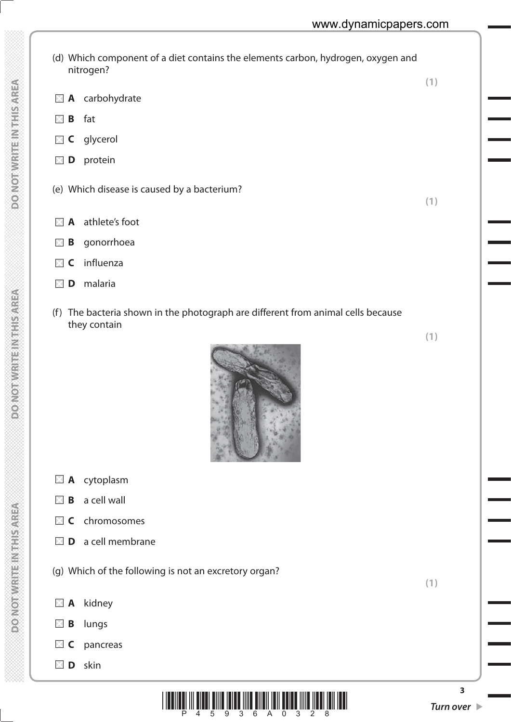- (d) Which component of a diet contains the elements carbon, hydrogen, oxygen and nitrogen?
- 

**(1)**

| $\boxtimes$ <b>A</b> athlete's foot |  |
|-------------------------------------|--|
|                                     |  |

(e) Which disease is caused by a bacterium?

**A** carbohydrate

**B** fat

**C** glycerol

**D** protein

- **B** gonorrhoea
- **C** influenza
- **D** malaria
- (f) The bacteria shown in the photograph are different from animal cells because they contain

- **A** cytoplasm
- **B** a cell wall
- **C** chromosomes
- **D** a cell membrane
- (g) Which of the following is not an excretory organ?
- **A** kidney
- **B** lungs
- **C** pancreas
- **D** skin



**3**



**(1)**

**(1)**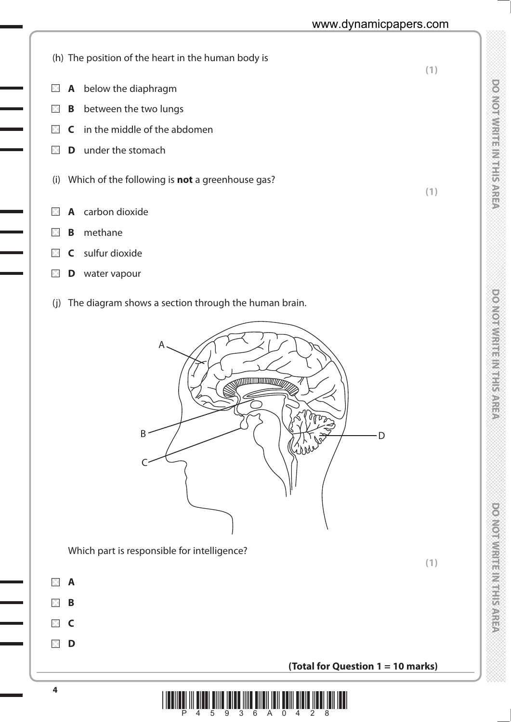**(1)**

**(1)**

- (h) The position of the heart in the human body is
- **A** below the diaphragm
- **B** between the two lungs
- **C** in the middle of the abdomen
- **D** under the stomach
- (i) Which of the following is **not** a greenhouse gas?
- **A** carbon dioxide
- **B** methane
- **C** sulfur dioxide
- **D** water vapour
- (j) The diagram shows a section through the human brain.



Which part is responsible for intelligence?

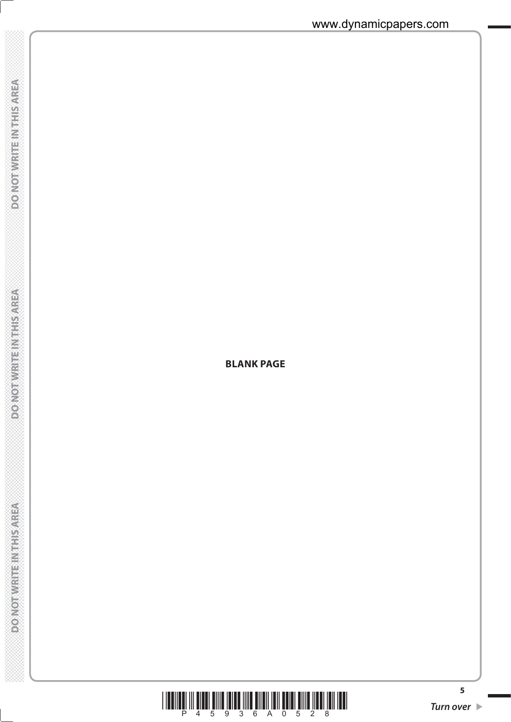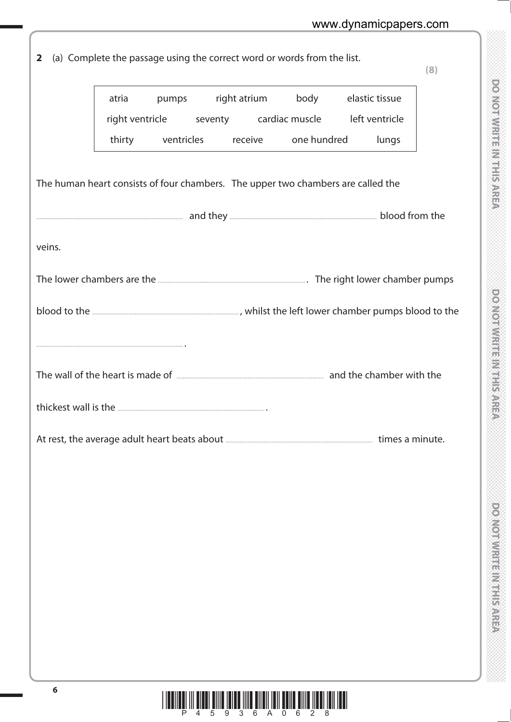| $\mathbf{2}$                                                                                                                                                                                                                                                                                                             |       |                    | (a) Complete the passage using the correct word or words from the list. |       | (8) |
|--------------------------------------------------------------------------------------------------------------------------------------------------------------------------------------------------------------------------------------------------------------------------------------------------------------------------|-------|--------------------|-------------------------------------------------------------------------|-------|-----|
|                                                                                                                                                                                                                                                                                                                          | atria | pumps right atrium | body elastic tissue                                                     |       |     |
|                                                                                                                                                                                                                                                                                                                          |       |                    | right ventricle seventy cardiac muscle left ventricle                   |       |     |
|                                                                                                                                                                                                                                                                                                                          |       |                    | thirty ventricles receive one hundred                                   | lungs |     |
| The human heart consists of four chambers. The upper two chambers are called the<br>and they <b>contract and the series and the series and the series and the series of the series of the series and the series of the series of the series of the series of the series of the series of the series of the series of</b> |       |                    |                                                                         |       |     |
| veins.                                                                                                                                                                                                                                                                                                                   |       |                    |                                                                         |       |     |
|                                                                                                                                                                                                                                                                                                                          |       |                    |                                                                         |       |     |
|                                                                                                                                                                                                                                                                                                                          |       |                    |                                                                         |       |     |
| The wall of the heart is made of <b>ELECTER</b> 2008 CONDUCTION and the chamber with the                                                                                                                                                                                                                                 |       |                    |                                                                         |       |     |
|                                                                                                                                                                                                                                                                                                                          |       |                    |                                                                         |       |     |
|                                                                                                                                                                                                                                                                                                                          |       |                    |                                                                         |       |     |
|                                                                                                                                                                                                                                                                                                                          |       |                    |                                                                         |       |     |
|                                                                                                                                                                                                                                                                                                                          |       |                    |                                                                         |       |     |
|                                                                                                                                                                                                                                                                                                                          |       |                    |                                                                         |       |     |
|                                                                                                                                                                                                                                                                                                                          |       |                    |                                                                         |       |     |

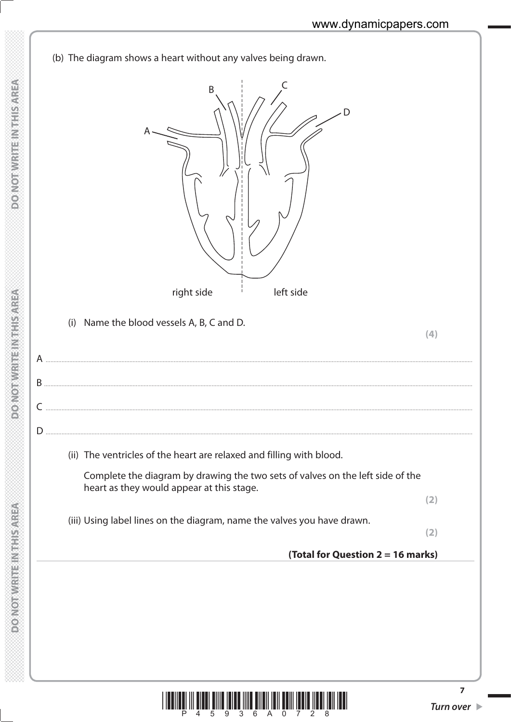| (b) The diagram shows a heart without any valves being drawn.<br>B<br>right side<br>left side                                                                                                                                                                                                          |
|--------------------------------------------------------------------------------------------------------------------------------------------------------------------------------------------------------------------------------------------------------------------------------------------------------|
| (i) Name the blood vessels A, B, C and D.<br>(4)<br>A<br>Β                                                                                                                                                                                                                                             |
| C<br>D<br>(ii) The ventricles of the heart are relaxed and filling with blood.<br>Complete the diagram by drawing the two sets of valves on the left side of the<br>heart as they would appear at this stage.<br>(2)<br>(iii) Using label lines on the diagram, name the valves you have drawn.<br>(2) |
| (Total for Question 2 = 16 marks)                                                                                                                                                                                                                                                                      |

**DO NOT WRITE IN THIS AREA** 

**DONOT WRITEIN THIS AREA** 

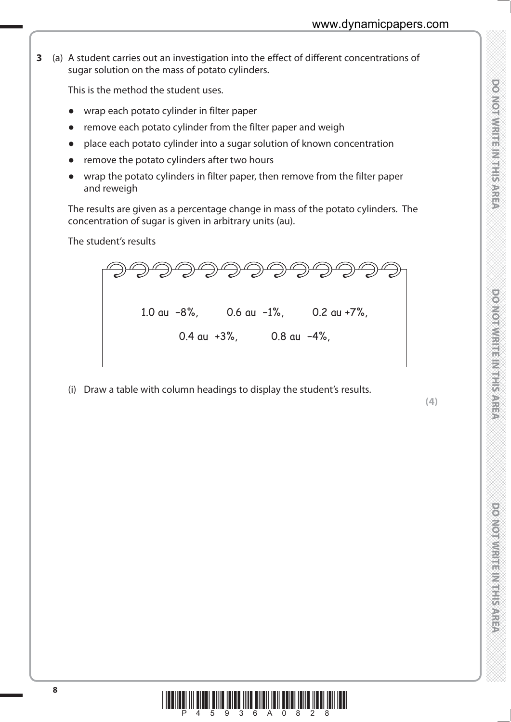**3** (a) A student carries out an investigation into the effect of different concentrations of sugar solution on the mass of potato cylinders.

This is the method the student uses.

- wrap each potato cylinder in filter paper
- remove each potato cylinder from the filter paper and weigh
- Ɣ place each potato cylinder into a sugar solution of known concentration
- remove the potato cylinders after two hours
- wrap the potato cylinders in filter paper, then remove from the filter paper and reweigh

 The results are given as a percentage change in mass of the potato cylinders. The concentration of sugar is given in arbitrary units (au).

The student's results



(i) Draw a table with column headings to display the student's results.

**(4)**

**THIS AREA DO NOT WRITE IN THIS AREA DO NOT WRITE IN THIS AREA DO NOT WRITE IN THIS AREA DO NOT WRITE IN THIS AREA DO NOT WRITE IN THIS AREA DO NOT WRITE IN THE INTERNATIONAL CONTINUES. WE are also assumed to the internati** 

**DOMOTIVITE IN THE SARE** 

**DOMOTIVE THE RESERVE**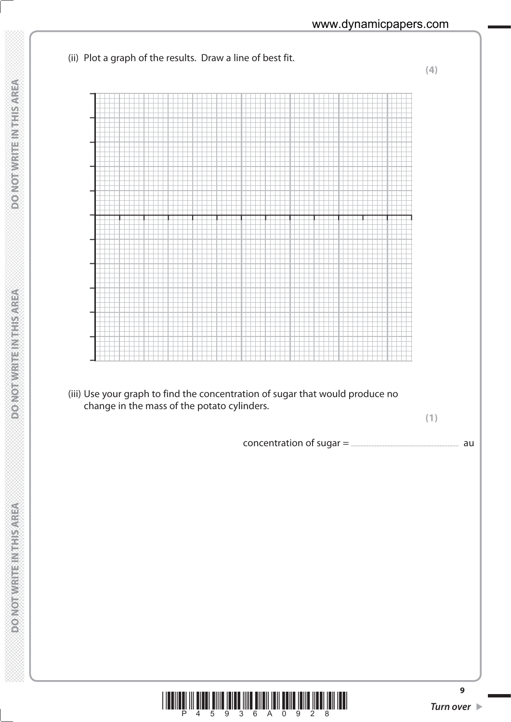

 $\begin{array}{c} \begin{array}{c} \begin{array}{c} \text{or} \end{array} \end{array} \end{array}$ 

**9**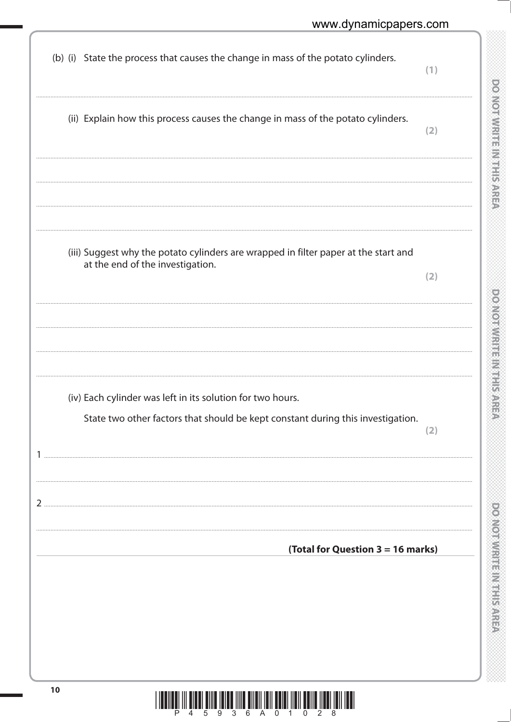| (b) (i) State the process that causes the change in mass of the potato cylinders.                                                                               | (1) |
|-----------------------------------------------------------------------------------------------------------------------------------------------------------------|-----|
| (ii) Explain how this process causes the change in mass of the potato cylinders.                                                                                | (2) |
|                                                                                                                                                                 |     |
| (iii) Suggest why the potato cylinders are wrapped in filter paper at the start and<br>at the end of the investigation.                                         | (2) |
| (iv) Each cylinder was left in its solution for two hours.<br>State two other factors that should be kept constant during this investigation.<br>$\overline{2}$ | (2) |
| (Total for Question 3 = 16 marks)                                                                                                                               |     |
|                                                                                                                                                                 |     |
| 10<br><u>II III BILI BINI ILIB IIII BINI ILIB BILI ILIB III BINI ILIB III ILIB III DI</u><br>IIIIII                                                             |     |

**PONORING THE MARKET START**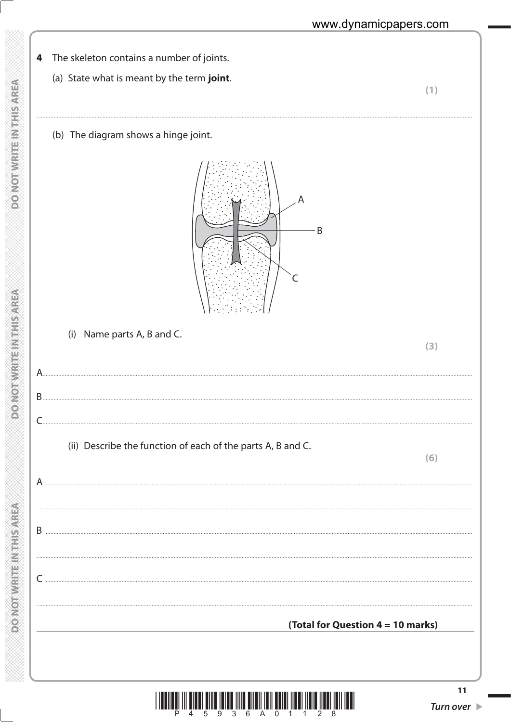

**ASSISTED MARINES MARGING** 

**TERMORE RESIDENCE** 

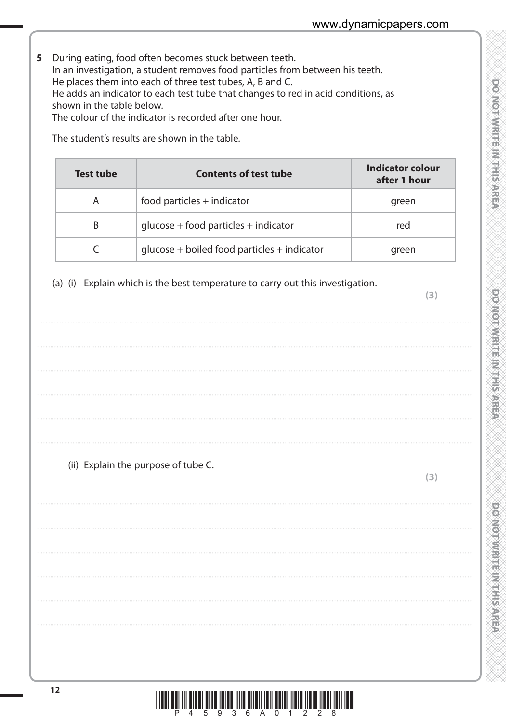During eating, food often becomes stuck between teeth.  $5<sup>7</sup>$ In an investigation, a student removes food particles from between his teeth. He places them into each of three test tubes, A, B and C. He adds an indicator to each test tube that changes to red in acid conditions, as shown in the table below. The colour of the indicator is recorded after one hour.

The student's results are shown in the table.

| Test tube | <b>Contents of test tube</b>                    | Indicator colour<br>after 1 hour |
|-----------|-------------------------------------------------|----------------------------------|
| A         | food particles + indicator                      | green                            |
| B         | $glucose + food$ particles + indicator          | red                              |
|           | $glucose + boiled$ food particles $+$ indicator | green                            |

- (a) (i) Explain which is the best temperature to carry out this investigation.
- $(3)$

(ii) Explain the purpose of tube C.

 $(3)$ 

**DO NOT WRITE IN THIS AREA** 

powerwater will be a strep

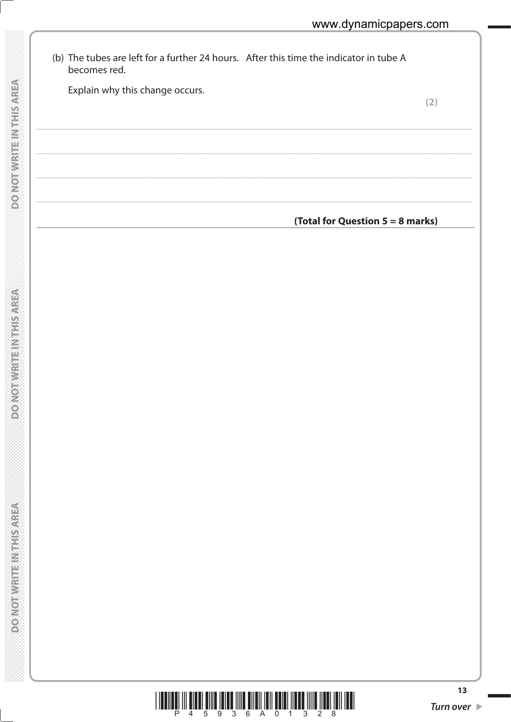(b) The tubes are left for a further 24 hours. After this time the indicator in tube A becomes red.

Explain why this change occurs.

(Total for Question  $5 = 8$  marks)



 $13$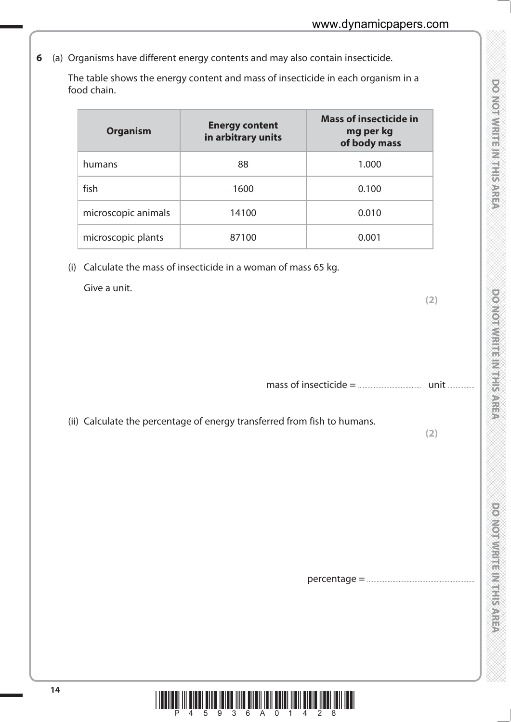**6** (a) Organisms have different energy contents and may also contain insecticide.

 The table shows the energy content and mass of insecticide in each organism in a food chain.

| <b>Organism</b>     | <b>Energy content</b><br>in arbitrary units | <b>Mass of insecticide in</b><br>mg per kg<br>of body mass |
|---------------------|---------------------------------------------|------------------------------------------------------------|
| humans              | 88                                          | 1.000                                                      |
| fish                | 1600                                        | 0.100                                                      |
| microscopic animals | 14100                                       | 0.010                                                      |
| microscopic plants  | 87100                                       | 0.001                                                      |

(i) Calculate the mass of insecticide in a woman of mass 65 kg.

Give a unit.

**(2)**

mass of insecticide = ........................................ unit .................

(ii) Calculate the percentage of energy transferred from fish to humans.

percentage = ....................................................................



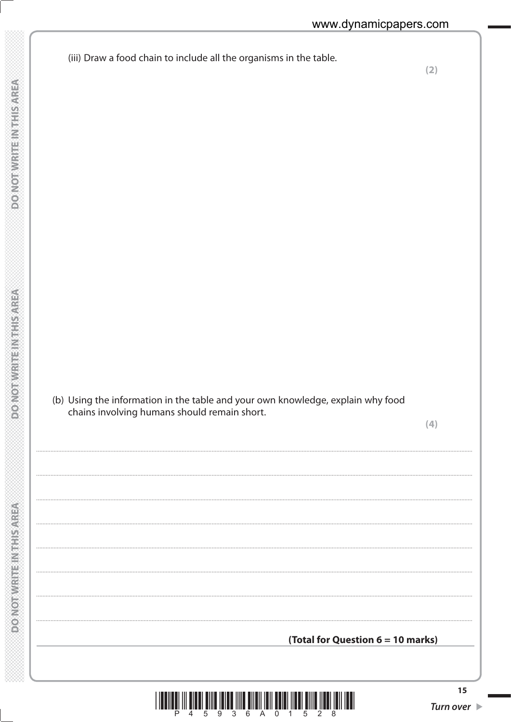| (iii) Draw a food chain to include all the organisms in the table.                                                              | (2) |
|---------------------------------------------------------------------------------------------------------------------------------|-----|
|                                                                                                                                 |     |
|                                                                                                                                 |     |
|                                                                                                                                 |     |
|                                                                                                                                 |     |
|                                                                                                                                 |     |
|                                                                                                                                 |     |
|                                                                                                                                 |     |
|                                                                                                                                 |     |
| (b) Using the information in the table and your own knowledge, explain why food<br>chains involving humans should remain short. | 4   |
|                                                                                                                                 |     |
|                                                                                                                                 |     |
|                                                                                                                                 |     |
|                                                                                                                                 |     |
|                                                                                                                                 |     |
| (Total for Question 6 = 10 marks)                                                                                               |     |
|                                                                                                                                 |     |

**DOMORWATER MARGARET**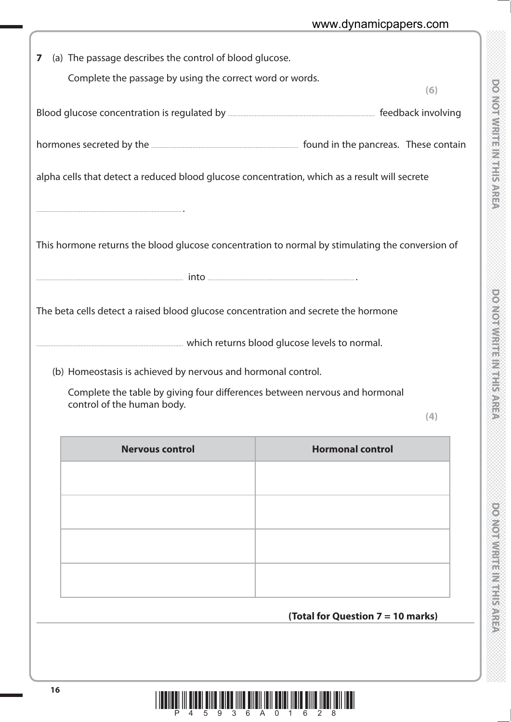**THIS AREA DO NOT WRITE IN THIS AREA DO NOT WRITE IN THIS AREA DO NOT WRITE IN THIS AREA DO NOT WRITE IN THIS AREA DO NOT WRITE IN THIS AREA DO NOT WRITE IN THE INTERNATIONAL CONTINUES.** 

DO NOTWRITE METHSAREA

DO NOTWRITE MITHIERAREA

| (a) The passage describes the control of blood glucose.<br>$\mathbf{z}$                                                                                                                                                                                                                                                                                           |                                   |
|-------------------------------------------------------------------------------------------------------------------------------------------------------------------------------------------------------------------------------------------------------------------------------------------------------------------------------------------------------------------|-----------------------------------|
| Complete the passage by using the correct word or words.                                                                                                                                                                                                                                                                                                          |                                   |
|                                                                                                                                                                                                                                                                                                                                                                   | (6)                               |
|                                                                                                                                                                                                                                                                                                                                                                   |                                   |
|                                                                                                                                                                                                                                                                                                                                                                   |                                   |
| alpha cells that detect a reduced blood glucose concentration, which as a result will secrete                                                                                                                                                                                                                                                                     |                                   |
| This hormone returns the blood glucose concentration to normal by stimulating the conversion of<br>The beta cells detect a raised blood glucose concentration and secrete the hormone<br>(b) Homeostasis is achieved by nervous and hormonal control.<br>Complete the table by giving four differences between nervous and hormonal<br>control of the human body. |                                   |
|                                                                                                                                                                                                                                                                                                                                                                   | (4)                               |
| <b>Nervous control</b>                                                                                                                                                                                                                                                                                                                                            | <b>Hormonal control</b>           |
|                                                                                                                                                                                                                                                                                                                                                                   |                                   |
|                                                                                                                                                                                                                                                                                                                                                                   |                                   |
|                                                                                                                                                                                                                                                                                                                                                                   |                                   |
|                                                                                                                                                                                                                                                                                                                                                                   |                                   |
|                                                                                                                                                                                                                                                                                                                                                                   |                                   |
|                                                                                                                                                                                                                                                                                                                                                                   |                                   |
|                                                                                                                                                                                                                                                                                                                                                                   | (Total for Question 7 = 10 marks) |

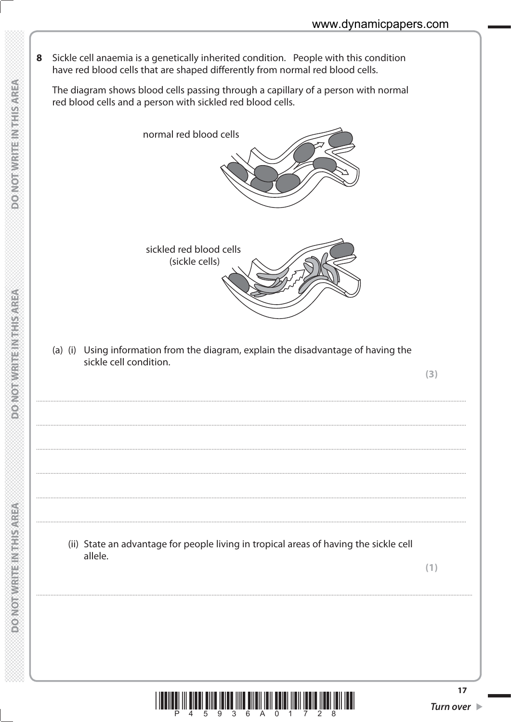Sickle cell anaemia is a genetically inherited condition. People with this condition 8 have red blood cells that are shaped differently from normal red blood cells.

The diagram shows blood cells passing through a capillary of a person with normal red blood cells and a person with sickled red blood cells.

normal red blood cells sickled red blood cells (sickle cells) (a) (i) Using information from the diagram, explain the disadvantage of having the sickle cell condition.  $(3)$ (ii) State an advantage for people living in tropical areas of having the sickle cell allele.  $(1)$  $17$ 

5 9 3 6 A 0 1

**DO NOTHER ERRITORY**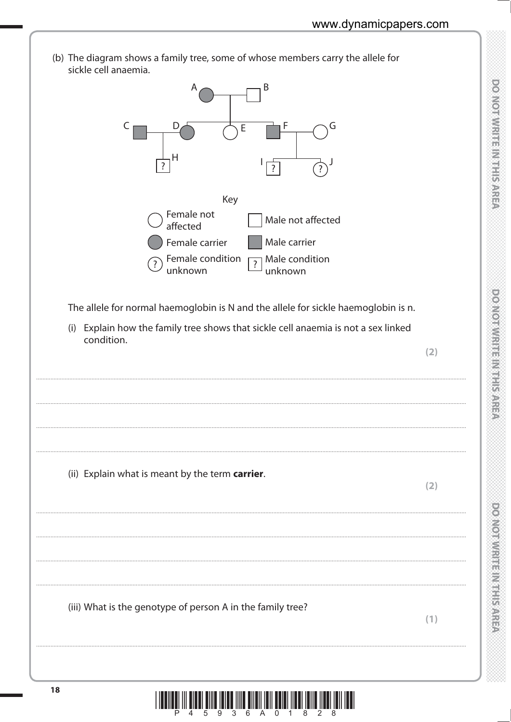(b) The diagram shows a family tree, some of whose members carry the allele for sickle cell anaemia.



(i) Explain how the family tree shows that sickle cell anaemia is not a sex linked condition.

**DO NOT WRITE IN THIS AREA** 

**DOMORWICHER MEETING** 

power was a set of the set of the

(ii) Explain what is meant by the term carrier.

 $(2)$ 

(iii) What is the genotype of person A in the family tree?

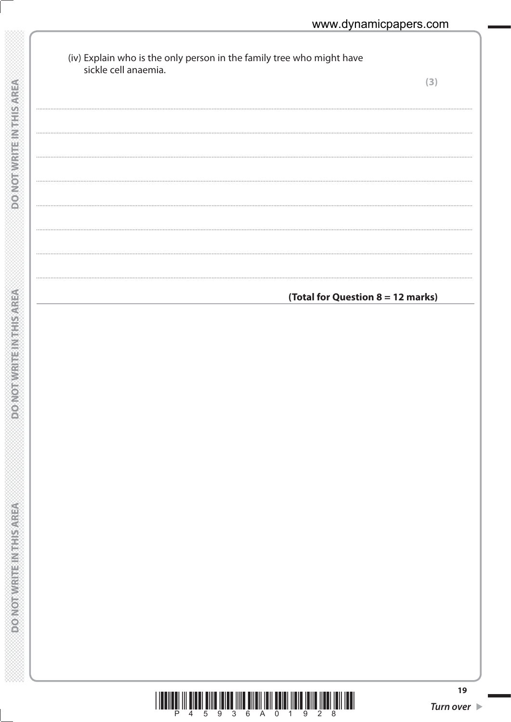| sickle cell anaemia. | (3)                               |
|----------------------|-----------------------------------|
|                      |                                   |
|                      |                                   |
|                      |                                   |
|                      |                                   |
|                      |                                   |
|                      |                                   |
|                      |                                   |
|                      |                                   |
|                      | (Total for Question 8 = 12 marks) |
|                      |                                   |
|                      |                                   |
|                      |                                   |
|                      |                                   |
|                      |                                   |
|                      |                                   |
|                      |                                   |
|                      |                                   |
|                      |                                   |
|                      |                                   |
|                      |                                   |
|                      |                                   |
|                      |                                   |
|                      |                                   |
|                      |                                   |

**DO NOT WRITE IN THIS AREA** 

**DO NOT WIRE IN THIS AREA** 

**DO NOT WRITE IN THIS AREA** 



19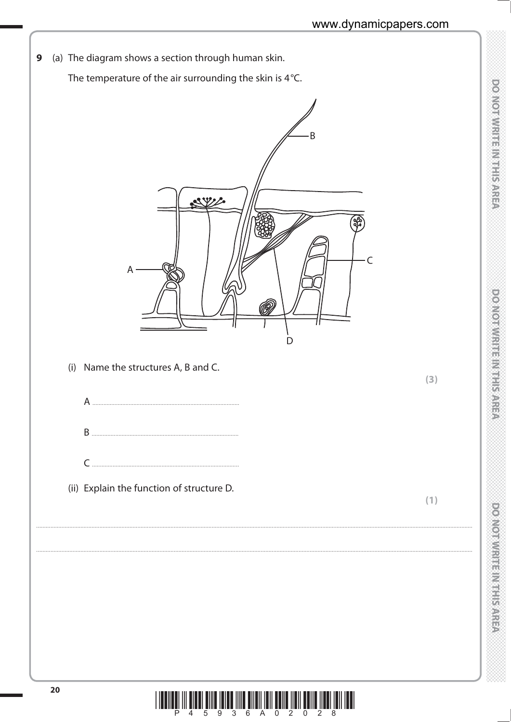

Ē

**DOMOTOWRITERS** REFERENCE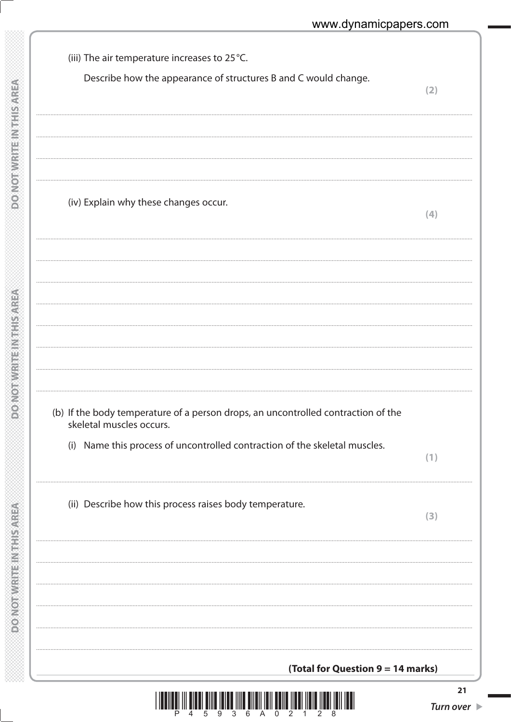| Describe how the appearance of structures B and C would change.                                               | (2) |
|---------------------------------------------------------------------------------------------------------------|-----|
|                                                                                                               |     |
|                                                                                                               |     |
| (iv) Explain why these changes occur.                                                                         | (4) |
|                                                                                                               |     |
|                                                                                                               |     |
|                                                                                                               |     |
|                                                                                                               |     |
| (b) If the body temperature of a person drops, an uncontrolled contraction of the<br>skeletal muscles occurs. |     |
| (i) Name this process of uncontrolled contraction of the skeletal muscles.                                    | (1) |
|                                                                                                               |     |
| (ii) Describe how this process raises body temperature.                                                       | (3) |
|                                                                                                               |     |
|                                                                                                               |     |
|                                                                                                               |     |
| (Total for Question 9 = 14 marks)                                                                             |     |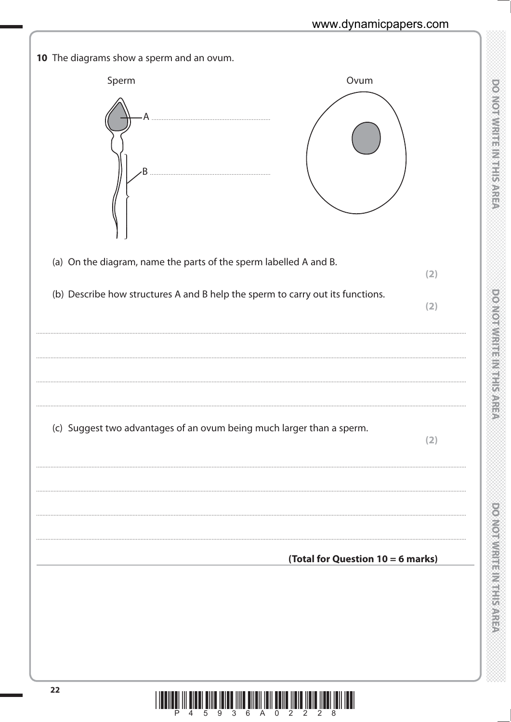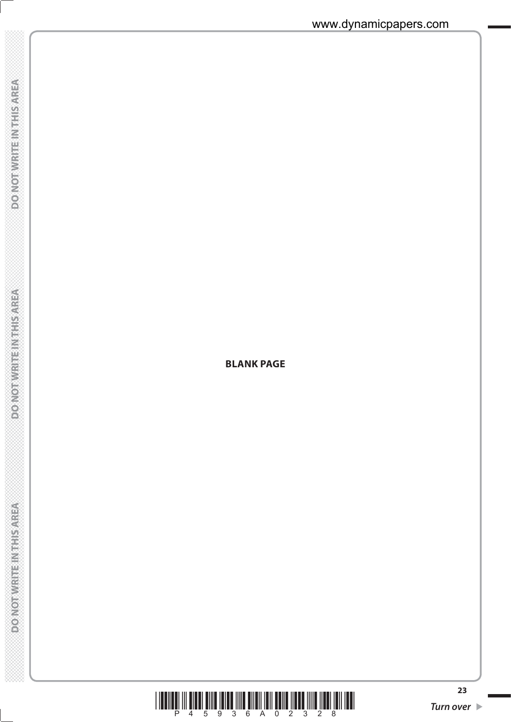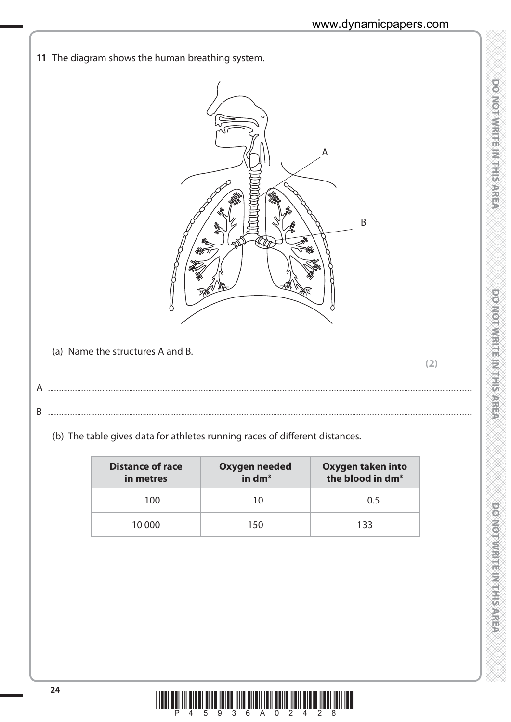

| <b>Distance of race</b><br>in metres | Oxygen needed<br>in d $m3$ | Oxygen taken into<br>the blood in $dm3$ |
|--------------------------------------|----------------------------|-----------------------------------------|
| 100                                  | 10                         | 0.5                                     |
| 10 000                               | 150                        | 133                                     |



DO NOT WRITE IN THIS AREA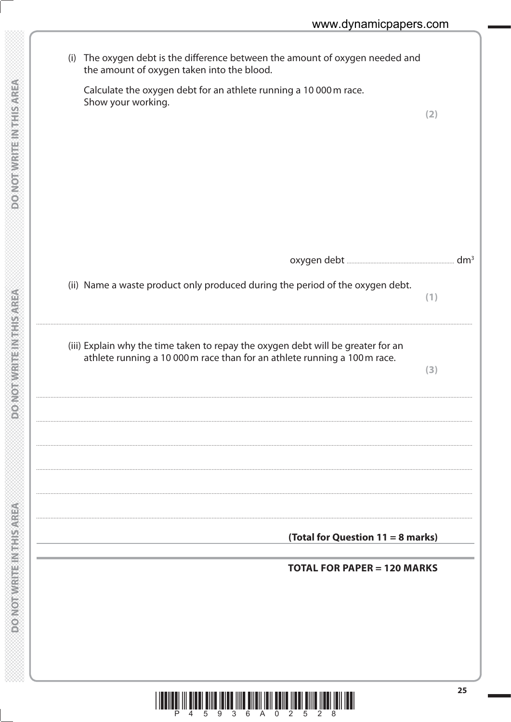$(2)$ 

(i) The oxygen debt is the difference between the amount of oxygen needed and the amount of oxygen taken into the blood.

Calculate the oxygen debt for an athlete running a 10 000 m race. Show your working.

 $\ldots$  dm<sup>3</sup> (ii) Name a waste product only produced during the period of the oxygen debt.  $(1)$ (iii) Explain why the time taken to repay the oxygen debt will be greater for an athlete running a 10 000 m race than for an athlete running a 100 m race.  $(3)$ (Total for Question  $11 = 8$  marks) **TOTAL FOR PAPER = 120 MARKS** 

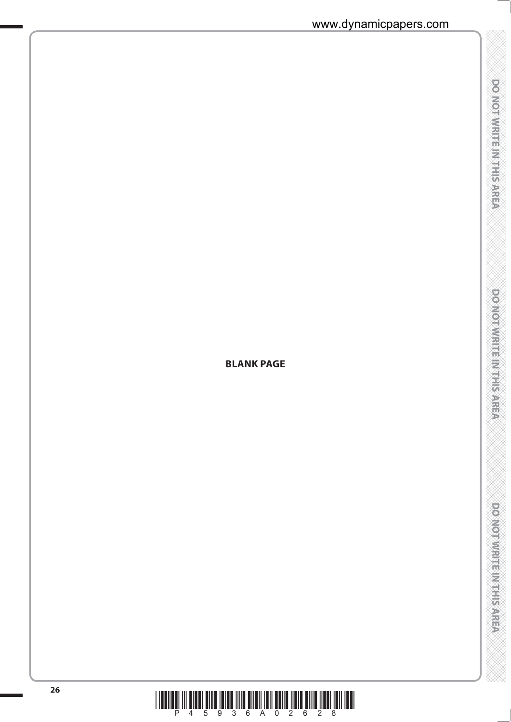# www.dynamicpapers.com

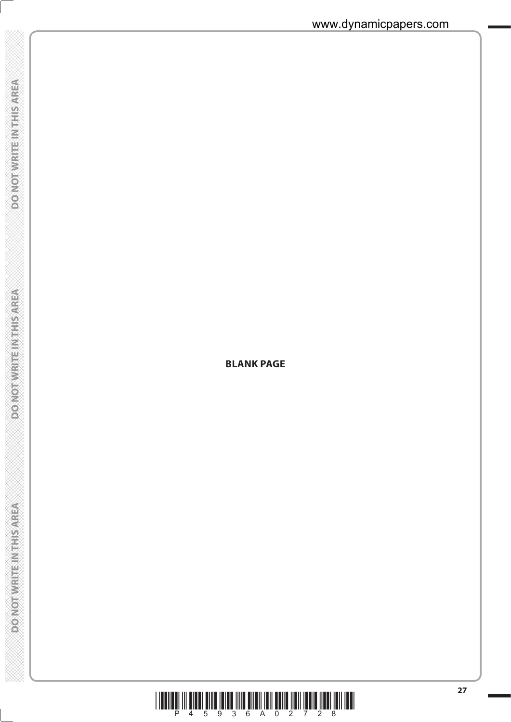**<sup>27</sup>** \*P45936A02728\*